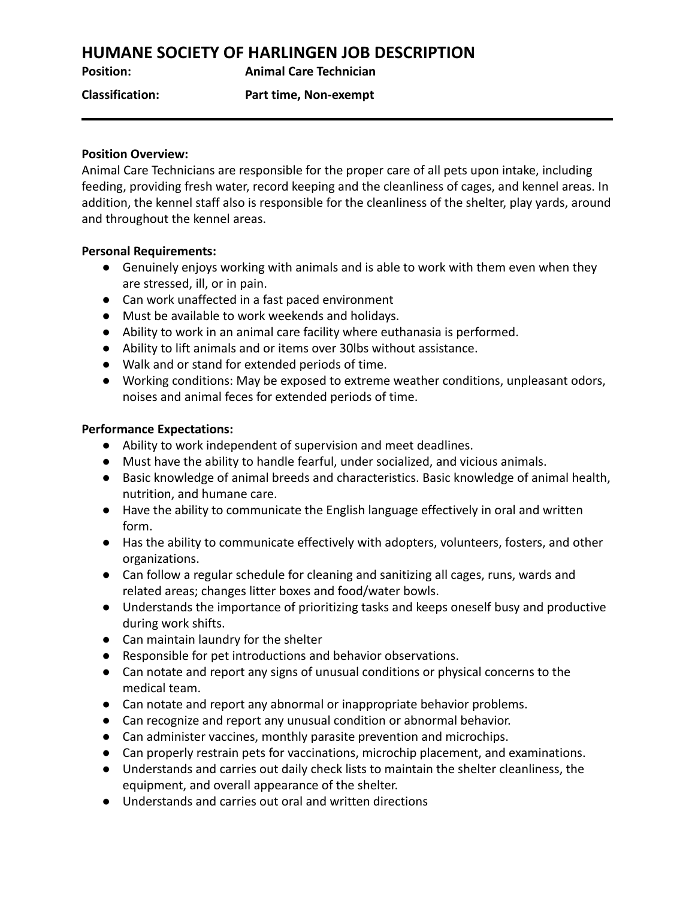# **HUMANE SOCIETY OF HARLINGEN JOB DESCRIPTION**

**Position: Animal Care Technician**

**Classification: Part time, Non-exempt**

# **Position Overview:**

Animal Care Technicians are responsible for the proper care of all pets upon intake, including feeding, providing fresh water, record keeping and the cleanliness of cages, and kennel areas. In addition, the kennel staff also is responsible for the cleanliness of the shelter, play yards, around and throughout the kennel areas.

# **Personal Requirements:**

- Genuinely enjoys working with animals and is able to work with them even when they are stressed, ill, or in pain.
- Can work unaffected in a fast paced environment
- Must be available to work weekends and holidays.
- Ability to work in an animal care facility where euthanasia is performed.
- Ability to lift animals and or items over 30lbs without assistance.
- Walk and or stand for extended periods of time.
- Working conditions: May be exposed to extreme weather conditions, unpleasant odors, noises and animal feces for extended periods of time.

# **Performance Expectations:**

- Ability to work independent of supervision and meet deadlines.
- Must have the ability to handle fearful, under socialized, and vicious animals.
- Basic knowledge of animal breeds and characteristics. Basic knowledge of animal health, nutrition, and humane care.
- Have the ability to communicate the English language effectively in oral and written form.
- Has the ability to communicate effectively with adopters, volunteers, fosters, and other organizations.
- Can follow a regular schedule for cleaning and sanitizing all cages, runs, wards and related areas; changes litter boxes and food/water bowls.
- Understands the importance of prioritizing tasks and keeps oneself busy and productive during work shifts.
- Can maintain laundry for the shelter
- Responsible for pet introductions and behavior observations.
- Can notate and report any signs of unusual conditions or physical concerns to the medical team.
- Can notate and report any abnormal or inappropriate behavior problems.
- Can recognize and report any unusual condition or abnormal behavior.
- Can administer vaccines, monthly parasite prevention and microchips.
- Can properly restrain pets for vaccinations, microchip placement, and examinations.
- Understands and carries out daily check lists to maintain the shelter cleanliness, the equipment, and overall appearance of the shelter.
- Understands and carries out oral and written directions